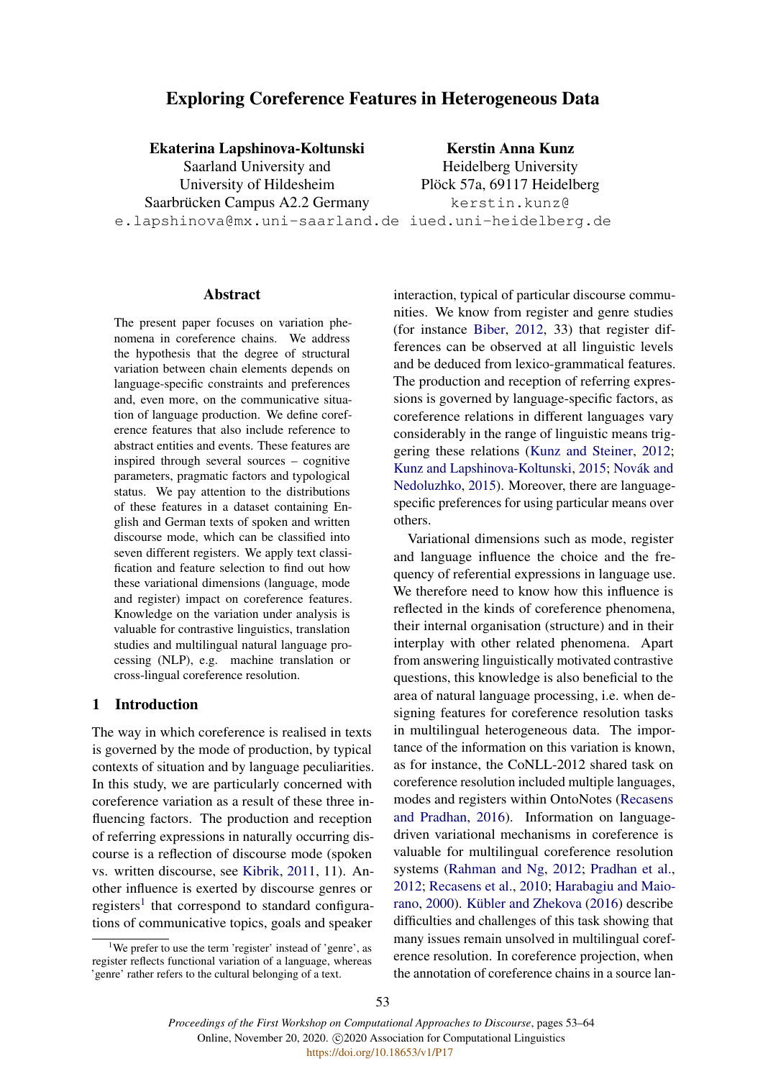# Exploring Coreference Features in Heterogeneous Data

## Ekaterina Lapshinova-Koltunski

Saarland University and University of Hildesheim Saarbrücken Campus A2.2 Germany e.lapshinova@mx.uni-saarland.de iued.uni-heidelberg.de

Kerstin Anna Kunz Heidelberg University Plöck 57a, 69117 Heidelberg kerstin.kunz@

#### Abstract

The present paper focuses on variation phenomena in coreference chains. We address the hypothesis that the degree of structural variation between chain elements depends on language-specific constraints and preferences and, even more, on the communicative situation of language production. We define coreference features that also include reference to abstract entities and events. These features are inspired through several sources – cognitive parameters, pragmatic factors and typological status. We pay attention to the distributions of these features in a dataset containing English and German texts of spoken and written discourse mode, which can be classified into seven different registers. We apply text classification and feature selection to find out how these variational dimensions (language, mode and register) impact on coreference features. Knowledge on the variation under analysis is valuable for contrastive linguistics, translation studies and multilingual natural language processing (NLP), e.g. machine translation or cross-lingual coreference resolution.

#### 1 Introduction

The way in which coreference is realised in texts is governed by the mode of production, by typical contexts of situation and by language peculiarities. In this study, we are particularly concerned with coreference variation as a result of these three influencing factors. The production and reception of referring expressions in naturally occurring discourse is a reflection of discourse mode (spoken vs. written discourse, see [Kibrik,](#page-9-0) [2011,](#page-9-0) 11). Another influence is exerted by discourse genres or registers<sup>[1](#page-0-0)</sup> that correspond to standard configurations of communicative topics, goals and speaker

interaction, typical of particular discourse communities. We know from register and genre studies (for instance [Biber,](#page-8-0) [2012,](#page-8-0) 33) that register differences can be observed at all linguistic levels and be deduced from lexico-grammatical features. The production and reception of referring expressions is governed by language-specific factors, as coreference relations in different languages vary considerably in the range of linguistic means triggering these relations [\(Kunz and Steiner,](#page-9-1) [2012;](#page-9-1) [Kunz and Lapshinova-Koltunski,](#page-9-2) [2015;](#page-9-2) Novák and [Nedoluzhko,](#page-9-3) [2015\)](#page-9-3). Moreover, there are languagespecific preferences for using particular means over others.

Variational dimensions such as mode, register and language influence the choice and the frequency of referential expressions in language use. We therefore need to know how this influence is reflected in the kinds of coreference phenomena, their internal organisation (structure) and in their interplay with other related phenomena. Apart from answering linguistically motivated contrastive questions, this knowledge is also beneficial to the area of natural language processing, i.e. when designing features for coreference resolution tasks in multilingual heterogeneous data. The importance of the information on this variation is known, as for instance, the CoNLL-2012 shared task on coreference resolution included multiple languages, modes and registers within OntoNotes [\(Recasens](#page-9-4) [and Pradhan,](#page-9-4) [2016\)](#page-9-4). Information on languagedriven variational mechanisms in coreference is valuable for multilingual coreference resolution systems [\(Rahman and Ng,](#page-9-5) [2012;](#page-9-5) [Pradhan et al.,](#page-9-6) [2012;](#page-9-6) [Recasens et al.,](#page-9-7) [2010;](#page-9-7) [Harabagiu and Maio](#page-9-8)[rano,](#page-9-8) [2000\)](#page-9-8). Kübler and Zhekova [\(2016\)](#page-9-9) describe difficulties and challenges of this task showing that many issues remain unsolved in multilingual coreference resolution. In coreference projection, when the annotation of coreference chains in a source lan-

<span id="page-0-0"></span><sup>&</sup>lt;sup>1</sup>We prefer to use the term 'register' instead of 'genre', as register reflects functional variation of a language, whereas 'genre' rather refers to the cultural belonging of a text.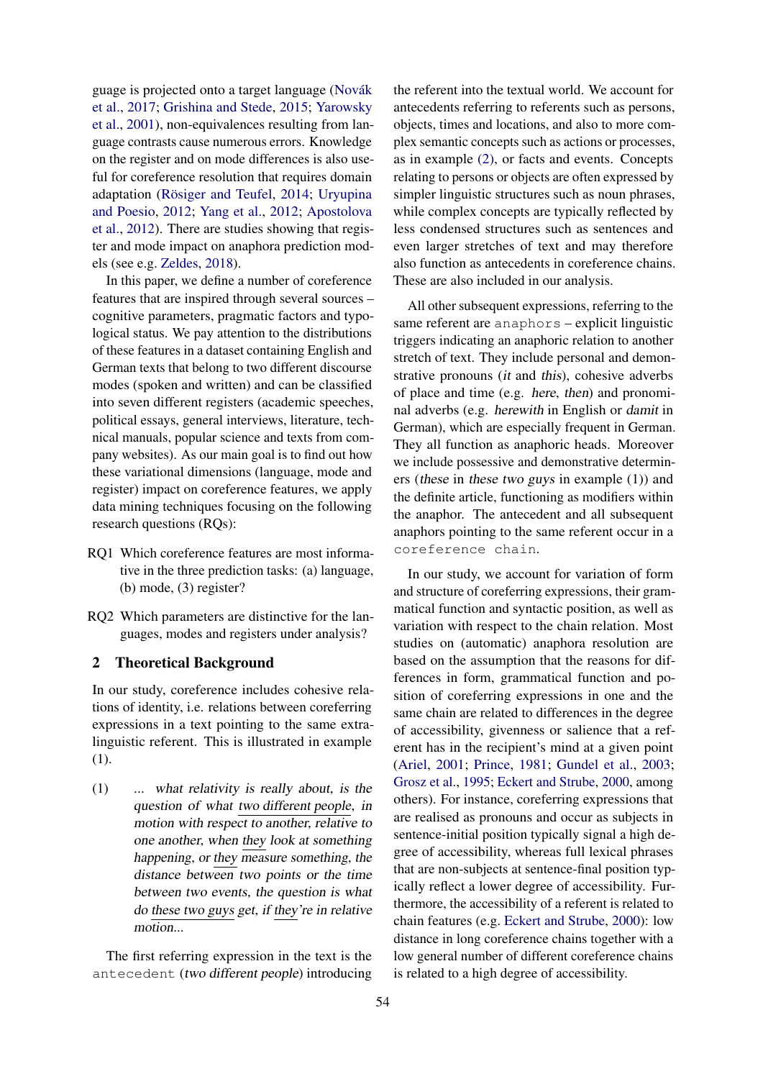guage is projected onto a target language (Novák [et al.,](#page-9-10) [2017;](#page-9-10) [Grishina and Stede,](#page-8-1) [2015;](#page-8-1) [Yarowsky](#page-10-0) [et al.,](#page-10-0) [2001\)](#page-10-0), non-equivalences resulting from language contrasts cause numerous errors. Knowledge on the register and on mode differences is also useful for coreference resolution that requires domain adaptation (Rösiger and Teufel, [2014;](#page-10-1) [Uryupina](#page-10-2) [and Poesio,](#page-10-2) [2012;](#page-10-2) [Yang et al.,](#page-10-3) [2012;](#page-10-3) [Apostolova](#page-8-2) [et al.,](#page-8-2) [2012\)](#page-8-2). There are studies showing that register and mode impact on anaphora prediction models (see e.g. [Zeldes,](#page-10-4) [2018\)](#page-10-4).

In this paper, we define a number of coreference features that are inspired through several sources – cognitive parameters, pragmatic factors and typological status. We pay attention to the distributions of these features in a dataset containing English and German texts that belong to two different discourse modes (spoken and written) and can be classified into seven different registers (academic speeches, political essays, general interviews, literature, technical manuals, popular science and texts from company websites). As our main goal is to find out how these variational dimensions (language, mode and register) impact on coreference features, we apply data mining techniques focusing on the following research questions (RQs):

- RQ1 Which coreference features are most informative in the three prediction tasks: (a) language, (b) mode, (3) register?
- RQ2 Which parameters are distinctive for the languages, modes and registers under analysis?

### 2 Theoretical Background

In our study, coreference includes cohesive relations of identity, i.e. relations between coreferring expressions in a text pointing to the same extralinguistic referent. This is illustrated in example (1).

<span id="page-1-0"></span>(1) ... what relativity is really about, is the question of what two different people, in motion with respect to another, relative to one another, when they look at something happening, or they measure something, the distance between two points or the time between two events, the question is what do these two guys get, if they're in relative motion...

The first referring expression in the text is the antecedent (two different people) introducing

the referent into the textual world. We account for antecedents referring to referents such as persons, objects, times and locations, and also to more complex semantic concepts such as actions or processes, as in example [\(2\),](#page-2-0) or facts and events. Concepts relating to persons or objects are often expressed by simpler linguistic structures such as noun phrases, while complex concepts are typically reflected by less condensed structures such as sentences and even larger stretches of text and may therefore also function as antecedents in coreference chains. These are also included in our analysis.

All other subsequent expressions, referring to the same referent are anaphors – explicit linguistic triggers indicating an anaphoric relation to another stretch of text. They include personal and demonstrative pronouns (it and this), cohesive adverbs of place and time (e.g. here, then) and pronominal adverbs (e.g. herewith in English or damit in German), which are especially frequent in German. They all function as anaphoric heads. Moreover we include possessive and demonstrative determiners (these in these two guys in example (1)) and the definite article, functioning as modifiers within the anaphor. The antecedent and all subsequent anaphors pointing to the same referent occur in a coreference chain.

In our study, we account for variation of form and structure of coreferring expressions, their grammatical function and syntactic position, as well as variation with respect to the chain relation. Most studies on (automatic) anaphora resolution are based on the assumption that the reasons for differences in form, grammatical function and position of coreferring expressions in one and the same chain are related to differences in the degree of accessibility, givenness or salience that a referent has in the recipient's mind at a given point [\(Ariel,](#page-8-3) [2001;](#page-8-3) [Prince,](#page-9-11) [1981;](#page-9-11) [Gundel et al.,](#page-8-4) [2003;](#page-8-4) [Grosz et al.,](#page-8-5) [1995;](#page-8-5) [Eckert and Strube,](#page-8-6) [2000,](#page-8-6) among others). For instance, coreferring expressions that are realised as pronouns and occur as subjects in sentence-initial position typically signal a high degree of accessibility, whereas full lexical phrases that are non-subjects at sentence-final position typically reflect a lower degree of accessibility. Furthermore, the accessibility of a referent is related to chain features (e.g. [Eckert and Strube,](#page-8-6) [2000\)](#page-8-6): low distance in long coreference chains together with a low general number of different coreference chains is related to a high degree of accessibility.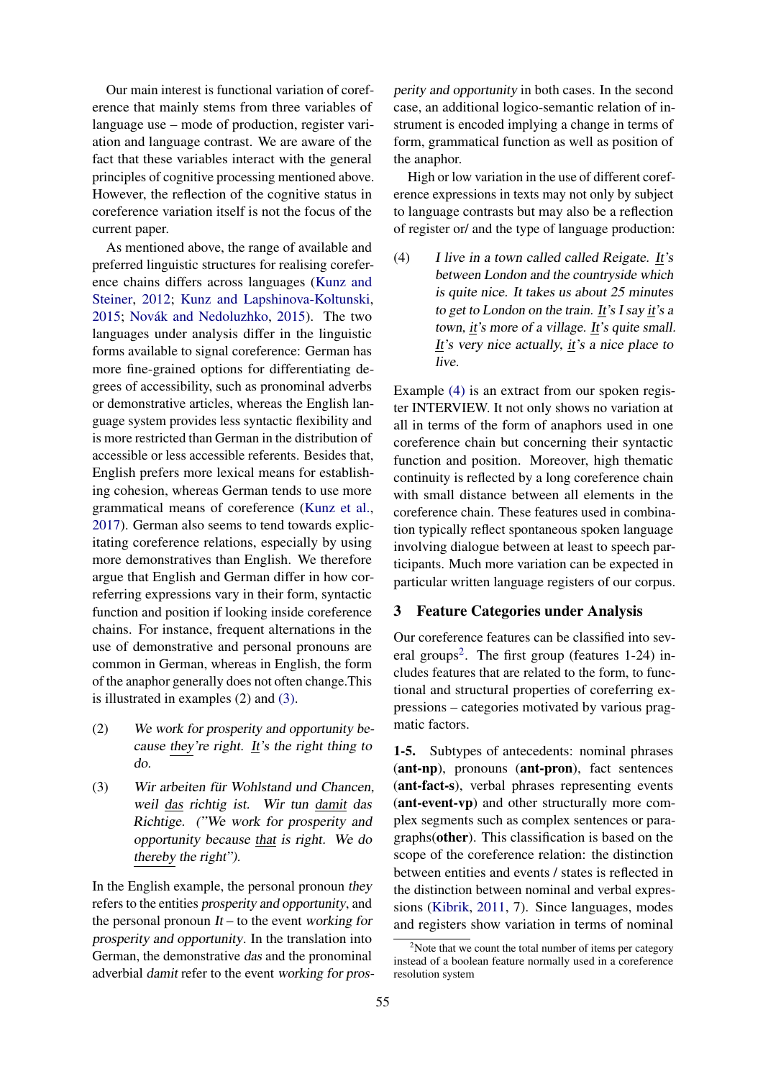Our main interest is functional variation of coreference that mainly stems from three variables of language use – mode of production, register variation and language contrast. We are aware of the fact that these variables interact with the general principles of cognitive processing mentioned above. However, the reflection of the cognitive status in coreference variation itself is not the focus of the current paper.

As mentioned above, the range of available and preferred linguistic structures for realising coreference chains differs across languages [\(Kunz and](#page-9-1) [Steiner,](#page-9-1) [2012;](#page-9-1) [Kunz and Lapshinova-Koltunski,](#page-9-2) [2015;](#page-9-2) Novák and Nedoluzhko, [2015\)](#page-9-3). The two languages under analysis differ in the linguistic forms available to signal coreference: German has more fine-grained options for differentiating degrees of accessibility, such as pronominal adverbs or demonstrative articles, whereas the English language system provides less syntactic flexibility and is more restricted than German in the distribution of accessible or less accessible referents. Besides that, English prefers more lexical means for establishing cohesion, whereas German tends to use more grammatical means of coreference [\(Kunz et al.,](#page-9-12) [2017\)](#page-9-12). German also seems to tend towards explicitating coreference relations, especially by using more demonstratives than English. We therefore argue that English and German differ in how correferring expressions vary in their form, syntactic function and position if looking inside coreference chains. For instance, frequent alternations in the use of demonstrative and personal pronouns are common in German, whereas in English, the form of the anaphor generally does not often change.This is illustrated in examples (2) and [\(3\).](#page-2-1)

- <span id="page-2-0"></span>(2) We work for prosperity and opportunity because they're right. It's the right thing to do.
- <span id="page-2-1"></span> $(3)$  Wir arbeiten für Wohlstand und Chancen, weil das richtig ist. Wir tun damit das Richtige. ("We work for prosperity and opportunity because that is right. We do thereby the right").

In the English example, the personal pronoun they refers to the entities prosperity and opportunity, and the personal pronoun  $It -$  to the event working for prosperity and opportunity. In the translation into German, the demonstrative das and the pronominal adverbial damit refer to the event working for prosperity and opportunity in both cases. In the second case, an additional logico-semantic relation of instrument is encoded implying a change in terms of form, grammatical function as well as position of the anaphor.

High or low variation in the use of different coreference expressions in texts may not only by subject to language contrasts but may also be a reflection of register or/ and the type of language production:

<span id="page-2-2"></span>(4) I live in a town called called Reigate. It's between London and the countryside which is quite nice. It takes us about 25 minutes to get to London on the train. It's I say it's a town, it's more of a village. It's quite small. It's very nice actually, it's a nice place to live.

Example [\(4\)](#page-2-2) is an extract from our spoken register INTERVIEW. It not only shows no variation at all in terms of the form of anaphors used in one coreference chain but concerning their syntactic function and position. Moreover, high thematic continuity is reflected by a long coreference chain with small distance between all elements in the coreference chain. These features used in combination typically reflect spontaneous spoken language involving dialogue between at least to speech participants. Much more variation can be expected in particular written language registers of our corpus.

### <span id="page-2-4"></span>3 Feature Categories under Analysis

Our coreference features can be classified into sev-eral groups<sup>[2](#page-2-3)</sup>. The first group (features 1-24) includes features that are related to the form, to functional and structural properties of coreferring expressions – categories motivated by various pragmatic factors.

1-5. Subtypes of antecedents: nominal phrases (ant-np), pronouns (ant-pron), fact sentences (ant-fact-s), verbal phrases representing events (ant-event-vp) and other structurally more complex segments such as complex sentences or paragraphs(other). This classification is based on the scope of the coreference relation: the distinction between entities and events / states is reflected in the distinction between nominal and verbal expressions [\(Kibrik,](#page-9-0) [2011,](#page-9-0) 7). Since languages, modes and registers show variation in terms of nominal

<span id="page-2-3"></span> $2^2$ Note that we count the total number of items per category instead of a boolean feature normally used in a coreference resolution system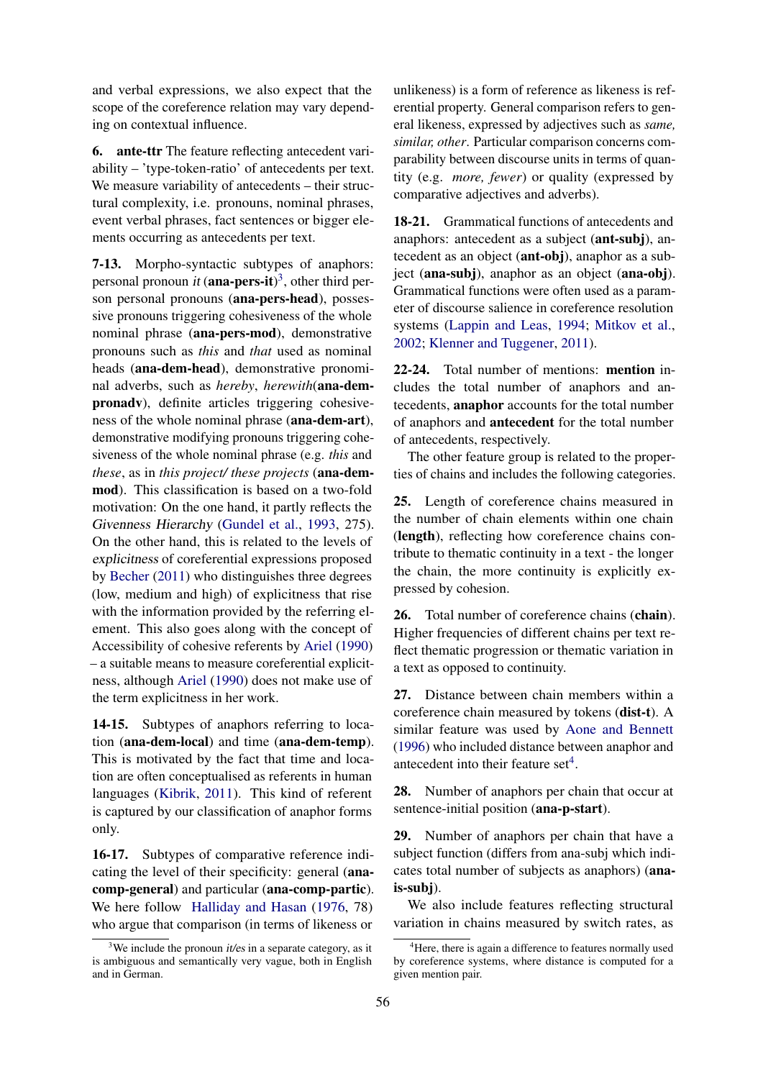and verbal expressions, we also expect that the scope of the coreference relation may vary depending on contextual influence.

6. ante-ttr The feature reflecting antecedent variability – 'type-token-ratio' of antecedents per text. We measure variability of antecedents – their structural complexity, i.e. pronouns, nominal phrases, event verbal phrases, fact sentences or bigger elements occurring as antecedents per text.

7-13. Morpho-syntactic subtypes of anaphors: personal pronoun *it* (**ana-pers-it**)<sup>[3](#page-3-0)</sup>, other third person personal pronouns (ana-pers-head), possessive pronouns triggering cohesiveness of the whole nominal phrase (ana-pers-mod), demonstrative pronouns such as *this* and *that* used as nominal heads (ana-dem-head), demonstrative pronominal adverbs, such as *hereby*, *herewith*(ana-dempronadv), definite articles triggering cohesiveness of the whole nominal phrase (ana-dem-art), demonstrative modifying pronouns triggering cohesiveness of the whole nominal phrase (e.g. *this* and *these*, as in *this project/ these projects* (ana-demmod). This classification is based on a two-fold motivation: On the one hand, it partly reflects the Givenness Hierarchy [\(Gundel et al.,](#page-8-7) [1993,](#page-8-7) 275). On the other hand, this is related to the levels of explicitness of coreferential expressions proposed by [Becher](#page-8-8) [\(2011\)](#page-8-8) who distinguishes three degrees (low, medium and high) of explicitness that rise with the information provided by the referring element. This also goes along with the concept of Accessibility of cohesive referents by [Ariel](#page-8-9) [\(1990\)](#page-8-9) – a suitable means to measure coreferential explicitness, although [Ariel](#page-8-9) [\(1990\)](#page-8-9) does not make use of the term explicitness in her work.

14-15. Subtypes of anaphors referring to location (ana-dem-local) and time (ana-dem-temp). This is motivated by the fact that time and location are often conceptualised as referents in human languages [\(Kibrik,](#page-9-0) [2011\)](#page-9-0). This kind of referent is captured by our classification of anaphor forms only.

16-17. Subtypes of comparative reference indicating the level of their specificity: general (anacomp-general) and particular (ana-comp-partic). We here follow [Halliday and Hasan](#page-9-13) [\(1976,](#page-9-13) 78) who argue that comparison (in terms of likeness or

unlikeness) is a form of reference as likeness is referential property. General comparison refers to general likeness, expressed by adjectives such as *same, similar, other*. Particular comparison concerns comparability between discourse units in terms of quantity (e.g. *more, fewer*) or quality (expressed by comparative adjectives and adverbs).

18-21. Grammatical functions of antecedents and anaphors: antecedent as a subject (ant-subj), antecedent as an object (ant-obj), anaphor as a subject (ana-subj), anaphor as an object (ana-obj). Grammatical functions were often used as a parameter of discourse salience in coreference resolution systems [\(Lappin and Leas,](#page-9-14) [1994;](#page-9-14) [Mitkov et al.,](#page-9-15) [2002;](#page-9-15) [Klenner and Tuggener,](#page-9-16) [2011\)](#page-9-16).

22-24. Total number of mentions: mention includes the total number of anaphors and antecedents, anaphor accounts for the total number of anaphors and antecedent for the total number of antecedents, respectively.

The other feature group is related to the properties of chains and includes the following categories.

25. Length of coreference chains measured in the number of chain elements within one chain (length), reflecting how coreference chains contribute to thematic continuity in a text - the longer the chain, the more continuity is explicitly expressed by cohesion.

26. Total number of coreference chains (chain). Higher frequencies of different chains per text reflect thematic progression or thematic variation in a text as opposed to continuity.

27. Distance between chain members within a coreference chain measured by tokens (dist-t). A similar feature was used by [Aone and Bennett](#page-8-10) [\(1996\)](#page-8-10) who included distance between anaphor and antecedent into their feature  $set<sup>4</sup>$  $set<sup>4</sup>$  $set<sup>4</sup>$ .

28. Number of anaphors per chain that occur at sentence-initial position (ana-p-start).

29. Number of anaphors per chain that have a subject function (differs from ana-subj which indicates total number of subjects as anaphors) (anais-subj).

We also include features reflecting structural variation in chains measured by switch rates, as

<span id="page-3-0"></span><sup>&</sup>lt;sup>3</sup>We include the pronoun *it/es* in a separate category, as it is ambiguous and semantically very vague, both in English and in German.

<span id="page-3-1"></span><sup>&</sup>lt;sup>4</sup>Here, there is again a difference to features normally used by coreference systems, where distance is computed for a given mention pair.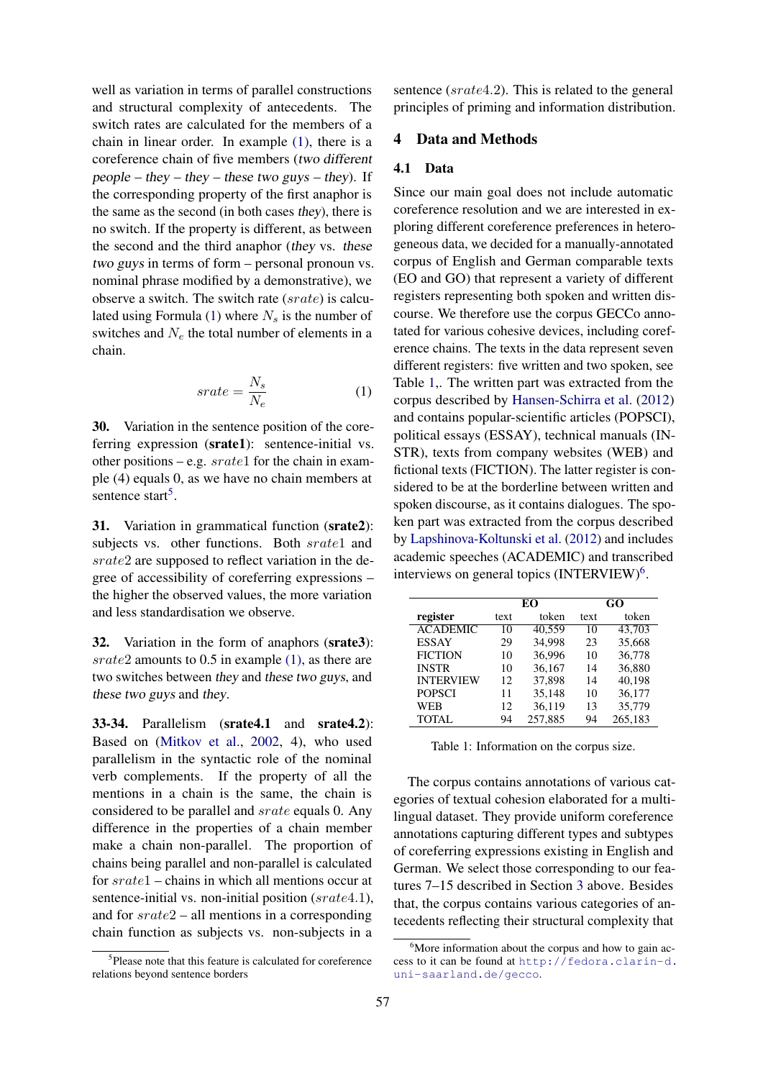well as variation in terms of parallel constructions and structural complexity of antecedents. The switch rates are calculated for the members of a chain in linear order. In example [\(1\),](#page-1-0) there is a coreference chain of five members (two different people – they – they – these two guys – they). If the corresponding property of the first anaphor is the same as the second (in both cases they), there is no switch. If the property is different, as between the second and the third anaphor (they vs. these two guys in terms of form – personal pronoun vs. nominal phrase modified by a demonstrative), we observe a switch. The switch rate (srate) is calculated using Formula  $(1)$  where  $N<sub>s</sub>$  is the number of switches and  $N_e$  the total number of elements in a chain.

$$
srate = \frac{N_s}{N_e} \tag{1}
$$

<span id="page-4-0"></span>30. Variation in the sentence position of the coreferring expression (srate1): sentence-initial vs. other positions – e.g.  $srate1$  for the chain in example (4) equals 0, as we have no chain members at sentence start<sup>[5](#page-4-1)</sup>.

31. Variation in grammatical function (srate2): subjects vs. other functions. Both srate1 and srate2 are supposed to reflect variation in the degree of accessibility of coreferring expressions – the higher the observed values, the more variation and less standardisation we observe.

32. Variation in the form of anaphors (srate3): srate2 amounts to 0.5 in example [\(1\),](#page-1-0) as there are two switches between they and these two guys, and these two guys and they.

33-34. Parallelism (srate4.1 and srate4.2): Based on [\(Mitkov et al.,](#page-9-15) [2002,](#page-9-15) 4), who used parallelism in the syntactic role of the nominal verb complements. If the property of all the mentions in a chain is the same, the chain is considered to be parallel and srate equals 0. Any difference in the properties of a chain member make a chain non-parallel. The proportion of chains being parallel and non-parallel is calculated for srate1 – chains in which all mentions occur at sentence-initial vs. non-initial position (srate4.1), and for srate2 – all mentions in a corresponding chain function as subjects vs. non-subjects in a

sentence (srate4.2). This is related to the general principles of priming and information distribution.

## 4 Data and Methods

#### 4.1 Data

Since our main goal does not include automatic coreference resolution and we are interested in exploring different coreference preferences in heterogeneous data, we decided for a manually-annotated corpus of English and German comparable texts (EO and GO) that represent a variety of different registers representing both spoken and written discourse. We therefore use the corpus GECCo annotated for various cohesive devices, including coreference chains. The texts in the data represent seven different registers: five written and two spoken, see Table [1,](#page-4-2). The written part was extracted from the corpus described by [Hansen-Schirra et al.](#page-9-17) [\(2012\)](#page-9-17) and contains popular-scientific articles (POPSCI), political essays (ESSAY), technical manuals (IN-STR), texts from company websites (WEB) and fictional texts (FICTION). The latter register is considered to be at the borderline between written and spoken discourse, as it contains dialogues. The spoken part was extracted from the corpus described by [Lapshinova-Koltunski et al.](#page-9-18) [\(2012\)](#page-9-18) and includes academic speeches (ACADEMIC) and transcribed interviews on general topics (INTERVIEW)<sup>[6](#page-4-3)</sup>.

<span id="page-4-2"></span>

|                  | EО   |         | GO   |         |
|------------------|------|---------|------|---------|
| register         | text | token   | text | token   |
| <b>ACADEMIC</b>  | 10   | 40.559  | 10   | 43.703  |
| <b>ESSAY</b>     | 29   | 34,998  | 23   | 35,668  |
| <b>FICTION</b>   | 10   | 36,996  | 10   | 36,778  |
| <b>INSTR</b>     | 10   | 36.167  | 14   | 36.880  |
| <b>INTERVIEW</b> | 12   | 37,898  | 14   | 40,198  |
| <b>POPSCI</b>    | 11   | 35,148  | 10   | 36,177  |
| <b>WEB</b>       | 12   | 36,119  | 13   | 35,779  |
| <b>TOTAL</b>     | 94   | 257,885 | 94   | 265,183 |

Table 1: Information on the corpus size.

The corpus contains annotations of various categories of textual cohesion elaborated for a multilingual dataset. They provide uniform coreference annotations capturing different types and subtypes of coreferring expressions existing in English and German. We select those corresponding to our features 7–15 described in Section [3](#page-2-4) above. Besides that, the corpus contains various categories of antecedents reflecting their structural complexity that

<span id="page-4-1"></span><sup>&</sup>lt;sup>5</sup>Please note that this feature is calculated for coreference relations beyond sentence borders

<span id="page-4-3"></span> $6$ More information about the corpus and how to gain access to it can be found at [http://fedora.clarin-d.](http://fedora.clarin-d.uni-saarland.de/gecco) [uni-saarland.de/gecco](http://fedora.clarin-d.uni-saarland.de/gecco).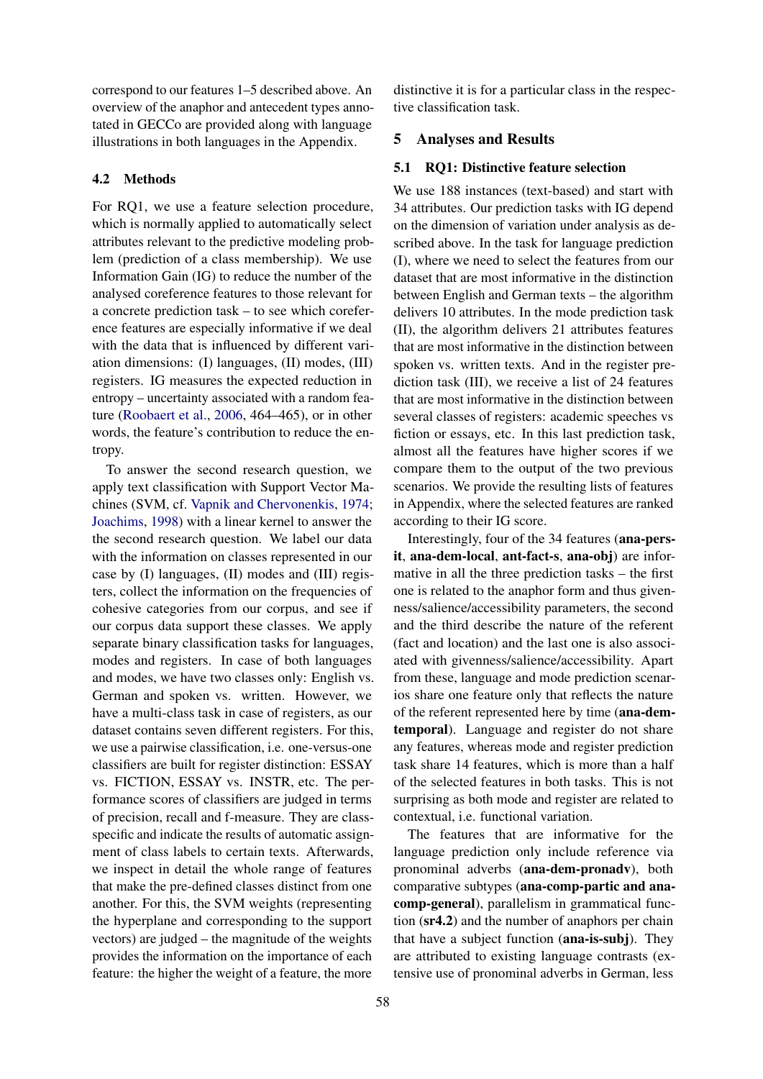correspond to our features 1–5 described above. An overview of the anaphor and antecedent types annotated in GECCo are provided along with language illustrations in both languages in the Appendix.

#### 4.2 Methods

For RQ1, we use a feature selection procedure, which is normally applied to automatically select attributes relevant to the predictive modeling problem (prediction of a class membership). We use Information Gain (IG) to reduce the number of the analysed coreference features to those relevant for a concrete prediction task – to see which coreference features are especially informative if we deal with the data that is influenced by different variation dimensions: (I) languages, (II) modes, (III) registers. IG measures the expected reduction in entropy – uncertainty associated with a random feature [\(Roobaert et al.,](#page-9-19) [2006,](#page-9-19) 464–465), or in other words, the feature's contribution to reduce the entropy.

To answer the second research question, we apply text classification with Support Vector Machines (SVM, cf. [Vapnik and Chervonenkis,](#page-10-5) [1974;](#page-10-5) [Joachims,](#page-9-20) [1998\)](#page-9-20) with a linear kernel to answer the the second research question. We label our data with the information on classes represented in our case by (I) languages, (II) modes and (III) registers, collect the information on the frequencies of cohesive categories from our corpus, and see if our corpus data support these classes. We apply separate binary classification tasks for languages, modes and registers. In case of both languages and modes, we have two classes only: English vs. German and spoken vs. written. However, we have a multi-class task in case of registers, as our dataset contains seven different registers. For this, we use a pairwise classification, i.e. one-versus-one classifiers are built for register distinction: ESSAY vs. FICTION, ESSAY vs. INSTR, etc. The performance scores of classifiers are judged in terms of precision, recall and f-measure. They are classspecific and indicate the results of automatic assignment of class labels to certain texts. Afterwards, we inspect in detail the whole range of features that make the pre-defined classes distinct from one another. For this, the SVM weights (representing the hyperplane and corresponding to the support vectors) are judged – the magnitude of the weights provides the information on the importance of each feature: the higher the weight of a feature, the more

distinctive it is for a particular class in the respective classification task.

#### 5 Analyses and Results

### 5.1 RQ1: Distinctive feature selection

We use 188 instances (text-based) and start with 34 attributes. Our prediction tasks with IG depend on the dimension of variation under analysis as described above. In the task for language prediction (I), where we need to select the features from our dataset that are most informative in the distinction between English and German texts – the algorithm delivers 10 attributes. In the mode prediction task (II), the algorithm delivers 21 attributes features that are most informative in the distinction between spoken vs. written texts. And in the register prediction task (III), we receive a list of 24 features that are most informative in the distinction between several classes of registers: academic speeches vs fiction or essays, etc. In this last prediction task, almost all the features have higher scores if we compare them to the output of the two previous scenarios. We provide the resulting lists of features in Appendix, where the selected features are ranked according to their IG score.

Interestingly, four of the 34 features (ana-persit, ana-dem-local, ant-fact-s, ana-obj) are informative in all the three prediction tasks – the first one is related to the anaphor form and thus givenness/salience/accessibility parameters, the second and the third describe the nature of the referent (fact and location) and the last one is also associated with givenness/salience/accessibility. Apart from these, language and mode prediction scenarios share one feature only that reflects the nature of the referent represented here by time (ana-demtemporal). Language and register do not share any features, whereas mode and register prediction task share 14 features, which is more than a half of the selected features in both tasks. This is not surprising as both mode and register are related to contextual, i.e. functional variation.

The features that are informative for the language prediction only include reference via pronominal adverbs (ana-dem-pronadv), both comparative subtypes (ana-comp-partic and anacomp-general), parallelism in grammatical function (sr4.2) and the number of anaphors per chain that have a subject function (ana-is-subj). They are attributed to existing language contrasts (extensive use of pronominal adverbs in German, less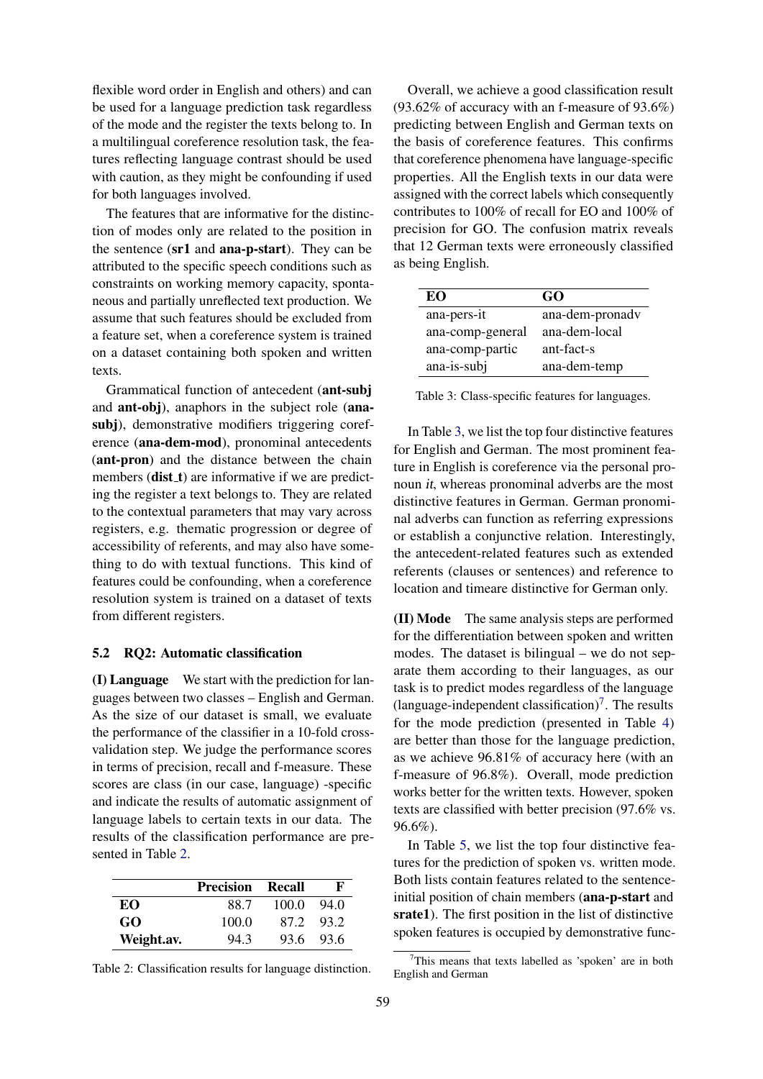flexible word order in English and others) and can be used for a language prediction task regardless of the mode and the register the texts belong to. In a multilingual coreference resolution task, the features reflecting language contrast should be used with caution, as they might be confounding if used for both languages involved.

The features that are informative for the distinction of modes only are related to the position in the sentence (sr1 and ana-p-start). They can be attributed to the specific speech conditions such as constraints on working memory capacity, spontaneous and partially unreflected text production. We assume that such features should be excluded from a feature set, when a coreference system is trained on a dataset containing both spoken and written texts.

Grammatical function of antecedent (ant-subj and ant-obj), anaphors in the subject role (anasubj), demonstrative modifiers triggering coreference (ana-dem-mod), pronominal antecedents (ant-pron) and the distance between the chain members  $(dist_t)$  are informative if we are predicting the register a text belongs to. They are related to the contextual parameters that may vary across registers, e.g. thematic progression or degree of accessibility of referents, and may also have something to do with textual functions. This kind of features could be confounding, when a coreference resolution system is trained on a dataset of texts from different registers.

### 5.2 RQ2: Automatic classification

(I) Language We start with the prediction for languages between two classes – English and German. As the size of our dataset is small, we evaluate the performance of the classifier in a 10-fold crossvalidation step. We judge the performance scores in terms of precision, recall and f-measure. These scores are class (in our case, language) -specific and indicate the results of automatic assignment of language labels to certain texts in our data. The results of the classification performance are presented in Table [2.](#page-6-0)

<span id="page-6-0"></span>

|            | <b>Precision Recall</b> |       | F         |
|------------|-------------------------|-------|-----------|
| EО         | 88.7                    | 100.0 | 94.0      |
| GO         | 100.0                   |       | 872.932   |
| Weight.av. | 94.3                    |       | 93.6 93.6 |

Table 2: Classification results for language distinction.

Overall, we achieve a good classification result (93.62% of accuracy with an f-measure of 93.6%) predicting between English and German texts on the basis of coreference features. This confirms that coreference phenomena have language-specific properties. All the English texts in our data were assigned with the correct labels which consequently contributes to 100% of recall for EO and 100% of precision for GO. The confusion matrix reveals that 12 German texts were erroneously classified as being English.

<span id="page-6-1"></span>

| EO               | GO              |
|------------------|-----------------|
| ana-pers-it      | ana-dem-pronady |
| ana-comp-general | ana-dem-local   |
| ana-comp-partic  | ant-fact-s      |
| ana-is-subj      | ana-dem-temp    |

Table 3: Class-specific features for languages.

In Table [3,](#page-6-1) we list the top four distinctive features for English and German. The most prominent feature in English is coreference via the personal pronoun it, whereas pronominal adverbs are the most distinctive features in German. German pronominal adverbs can function as referring expressions or establish a conjunctive relation. Interestingly, the antecedent-related features such as extended referents (clauses or sentences) and reference to location and timeare distinctive for German only.

(II) Mode The same analysis steps are performed for the differentiation between spoken and written modes. The dataset is bilingual – we do not separate them according to their languages, as our task is to predict modes regardless of the language  $(\text{language-independent classification})^7$  $(\text{language-independent classification})^7$ . The results for the mode prediction (presented in Table [4\)](#page-7-0) are better than those for the language prediction, as we achieve 96.81% of accuracy here (with an f-measure of 96.8%). Overall, mode prediction works better for the written texts. However, spoken texts are classified with better precision (97.6% vs. 96.6%).

In Table [5,](#page-7-1) we list the top four distinctive features for the prediction of spoken vs. written mode. Both lists contain features related to the sentenceinitial position of chain members (ana-p-start and srate1). The first position in the list of distinctive spoken features is occupied by demonstrative func-

<span id="page-6-2"></span><sup>&</sup>lt;sup>7</sup>This means that texts labelled as 'spoken' are in both English and German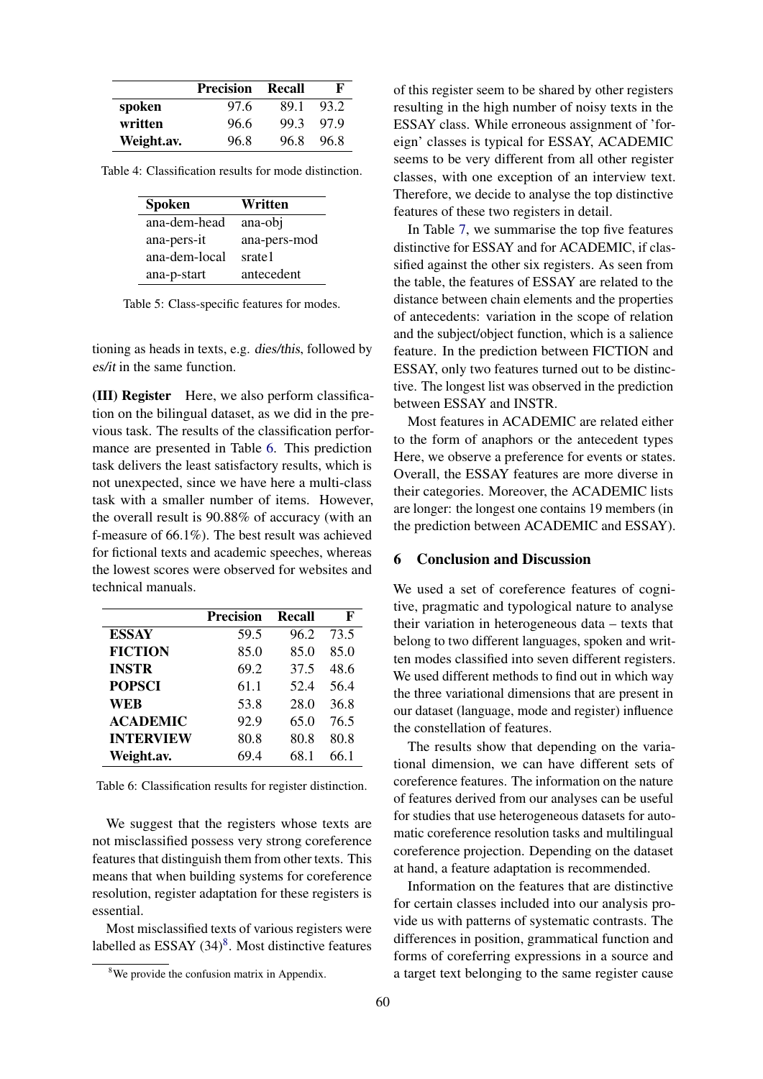<span id="page-7-0"></span>

|            | <b>Precision</b> | - Recall | F    |
|------------|------------------|----------|------|
| spoken     | 97.6             | 891      | 93.2 |
| written    | 96.6             | 99.3     | 979  |
| Weight.av. | 96.8             | 96.8     | 96.8 |

<span id="page-7-1"></span>Table 4: Classification results for mode distinction.

| <b>Spoken</b> | Written      |
|---------------|--------------|
| ana-dem-head  | ana-obj      |
| ana-pers-it   | ana-pers-mod |
| ana-dem-local | srate1       |
| ana-p-start   | antecedent   |

Table 5: Class-specific features for modes.

tioning as heads in texts, e.g. dies/this, followed by es/it in the same function.

(III) Register Here, we also perform classification on the bilingual dataset, as we did in the previous task. The results of the classification performance are presented in Table [6.](#page-7-2) This prediction task delivers the least satisfactory results, which is not unexpected, since we have here a multi-class task with a smaller number of items. However, the overall result is 90.88% of accuracy (with an f-measure of 66.1%). The best result was achieved for fictional texts and academic speeches, whereas the lowest scores were observed for websites and technical manuals.

<span id="page-7-2"></span>

|                  | <b>Precision</b> | <b>Recall</b> | F    |
|------------------|------------------|---------------|------|
| <b>ESSAY</b>     | 59.5             | 96.2          | 73.5 |
| <b>FICTION</b>   | 85.0             | 85.0          | 85.0 |
| <b>INSTR</b>     | 69.2             | 37.5          | 48.6 |
| <b>POPSCI</b>    | 61.1             | 52.4          | 56.4 |
| WEB              | 53.8             | 28.0          | 36.8 |
| <b>ACADEMIC</b>  | 92.9             | 65.0          | 76.5 |
| <b>INTERVIEW</b> | 80.8             | 80.8          | 80.8 |
| Weight.av.       | 69.4             | 68.1          | 66.1 |

Table 6: Classification results for register distinction.

We suggest that the registers whose texts are not misclassified possess very strong coreference features that distinguish them from other texts. This means that when building systems for coreference resolution, register adaptation for these registers is essential.

Most misclassified texts of various registers were labelled as ESSAY  $(34)^8$  $(34)^8$ . Most distinctive features

of this register seem to be shared by other registers resulting in the high number of noisy texts in the ESSAY class. While erroneous assignment of 'foreign' classes is typical for ESSAY, ACADEMIC seems to be very different from all other register classes, with one exception of an interview text. Therefore, we decide to analyse the top distinctive features of these two registers in detail.

In Table [7,](#page-8-11) we summarise the top five features distinctive for ESSAY and for ACADEMIC, if classified against the other six registers. As seen from the table, the features of ESSAY are related to the distance between chain elements and the properties of antecedents: variation in the scope of relation and the subject/object function, which is a salience feature. In the prediction between FICTION and ESSAY, only two features turned out to be distinctive. The longest list was observed in the prediction between ESSAY and INSTR.

Most features in ACADEMIC are related either to the form of anaphors or the antecedent types Here, we observe a preference for events or states. Overall, the ESSAY features are more diverse in their categories. Moreover, the ACADEMIC lists are longer: the longest one contains 19 members (in the prediction between ACADEMIC and ESSAY).

#### 6 Conclusion and Discussion

We used a set of coreference features of cognitive, pragmatic and typological nature to analyse their variation in heterogeneous data – texts that belong to two different languages, spoken and written modes classified into seven different registers. We used different methods to find out in which way the three variational dimensions that are present in our dataset (language, mode and register) influence the constellation of features.

The results show that depending on the variational dimension, we can have different sets of coreference features. The information on the nature of features derived from our analyses can be useful for studies that use heterogeneous datasets for automatic coreference resolution tasks and multilingual coreference projection. Depending on the dataset at hand, a feature adaptation is recommended.

Information on the features that are distinctive for certain classes included into our analysis provide us with patterns of systematic contrasts. The differences in position, grammatical function and forms of coreferring expressions in a source and a target text belonging to the same register cause

<span id="page-7-3"></span><sup>&</sup>lt;sup>8</sup>We provide the confusion matrix in Appendix.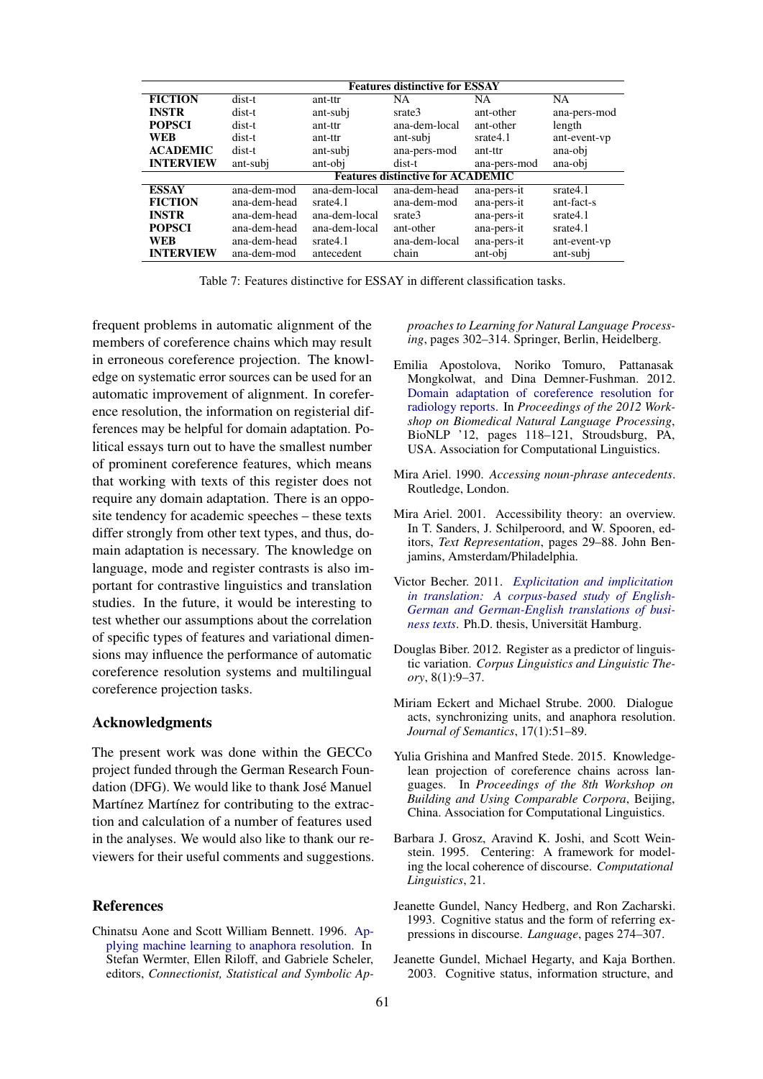<span id="page-8-11"></span>

|                  |              |               | <b>Features distinctive for ESSAY</b>    |              |              |
|------------------|--------------|---------------|------------------------------------------|--------------|--------------|
| <b>FICTION</b>   | dist-t       | ant-ttr       | NA.                                      | <b>NA</b>    | <b>NA</b>    |
| <b>INSTR</b>     | dist-t       | ant-subj      | srate3                                   | ant-other    | ana-pers-mod |
| <b>POPSCI</b>    | dist-t       | ant-ttr       | ana-dem-local                            | ant-other    | length       |
| <b>WEB</b>       | dist-t       | ant-ttr       | ant-subj                                 | srate4.1     | ant-event-vp |
| <b>ACADEMIC</b>  | dist-t       | ant-subj      | ana-pers-mod                             | ant-ttr      | ana-obi      |
| <b>INTERVIEW</b> | ant-subj     | ant-obj       | dist-t                                   | ana-pers-mod | ana-obi      |
|                  |              |               | <b>Features distinctive for ACADEMIC</b> |              |              |
| <b>ESSAY</b>     | ana-dem-mod  | ana-dem-local | ana-dem-head                             | ana-pers-it  | srate4.1     |
| <b>FICTION</b>   | ana-dem-head | srate4.1      | ana-dem-mod                              | ana-pers-it  | ant-fact-s   |
| <b>INSTR</b>     | ana-dem-head | ana-dem-local | srate3                                   | ana-pers-it  | srate4.1     |
| <b>POPSCI</b>    | ana-dem-head | ana-dem-local | ant-other                                | ana-pers-it  | srate4.1     |
| <b>WEB</b>       | ana-dem-head | srate4.1      | ana-dem-local                            | ana-pers-it  | ant-event-vp |
| <b>INTERVIEW</b> | ana-dem-mod  | antecedent    | chain                                    | ant-obj      | ant-subj     |

Table 7: Features distinctive for ESSAY in different classification tasks.

frequent problems in automatic alignment of the members of coreference chains which may result in erroneous coreference projection. The knowledge on systematic error sources can be used for an automatic improvement of alignment. In coreference resolution, the information on registerial differences may be helpful for domain adaptation. Political essays turn out to have the smallest number of prominent coreference features, which means that working with texts of this register does not require any domain adaptation. There is an opposite tendency for academic speeches – these texts differ strongly from other text types, and thus, domain adaptation is necessary. The knowledge on language, mode and register contrasts is also important for contrastive linguistics and translation studies. In the future, it would be interesting to test whether our assumptions about the correlation of specific types of features and variational dimensions may influence the performance of automatic coreference resolution systems and multilingual coreference projection tasks.

### Acknowledgments

The present work was done within the GECCo project funded through the German Research Foundation (DFG). We would like to thank José Manuel Martínez Martínez for contributing to the extraction and calculation of a number of features used in the analyses. We would also like to thank our reviewers for their useful comments and suggestions.

#### References

<span id="page-8-10"></span>Chinatsu Aone and Scott William Bennett. 1996. [Ap](https://doi.org/10.1007/3-540-60925-3_55)[plying machine learning to anaphora resolution.](https://doi.org/10.1007/3-540-60925-3_55) In Stefan Wermter, Ellen Riloff, and Gabriele Scheler, editors, *Connectionist, Statistical and Symbolic Ap-* *proaches to Learning for Natural Language Processing*, pages 302–314. Springer, Berlin, Heidelberg.

- <span id="page-8-2"></span>Emilia Apostolova, Noriko Tomuro, Pattanasak Mongkolwat, and Dina Demner-Fushman. 2012. [Domain adaptation of coreference resolution for](http://dl.acm.org/citation.cfm?id=2391123.2391139) [radiology reports.](http://dl.acm.org/citation.cfm?id=2391123.2391139) In *Proceedings of the 2012 Workshop on Biomedical Natural Language Processing*, BioNLP '12, pages 118–121, Stroudsburg, PA, USA. Association for Computational Linguistics.
- <span id="page-8-9"></span>Mira Ariel. 1990. *Accessing noun-phrase antecedents*. Routledge, London.
- <span id="page-8-3"></span>Mira Ariel. 2001. Accessibility theory: an overview. In T. Sanders, J. Schilperoord, and W. Spooren, editors, *Text Representation*, pages 29–88. John Benjamins, Amsterdam/Philadelphia.
- <span id="page-8-8"></span>Victor Becher. 2011. *[Explicitation and implicitation](ttp://ediss.sub.uni-hamburg.de/volltexte/2011/5321/pdf/Dissertation.pdf) [in translation: A corpus-based study of English-](ttp://ediss.sub.uni-hamburg.de/volltexte/2011/5321/pdf/Dissertation.pdf)[German and German-English translations of busi](ttp://ediss.sub.uni-hamburg.de/volltexte/2011/5321/pdf/Dissertation.pdf)[ness texts](ttp://ediss.sub.uni-hamburg.de/volltexte/2011/5321/pdf/Dissertation.pdf)*. Ph.D. thesis, Universität Hamburg.
- <span id="page-8-0"></span>Douglas Biber. 2012. Register as a predictor of linguistic variation. *Corpus Linguistics and Linguistic Theory*, 8(1):9–37.
- <span id="page-8-6"></span>Miriam Eckert and Michael Strube. 2000. Dialogue acts, synchronizing units, and anaphora resolution. *Journal of Semantics*, 17(1):51–89.
- <span id="page-8-1"></span>Yulia Grishina and Manfred Stede. 2015. Knowledgelean projection of coreference chains across languages. In *Proceedings of the 8th Workshop on Building and Using Comparable Corpora*, Beijing, China. Association for Computational Linguistics.
- <span id="page-8-5"></span>Barbara J. Grosz, Aravind K. Joshi, and Scott Weinstein. 1995. Centering: A framework for modeling the local coherence of discourse. *Computational Linguistics*, 21.
- <span id="page-8-7"></span>Jeanette Gundel, Nancy Hedberg, and Ron Zacharski. 1993. Cognitive status and the form of referring expressions in discourse. *Language*, pages 274–307.
- <span id="page-8-4"></span>Jeanette Gundel, Michael Hegarty, and Kaja Borthen. 2003. Cognitive status, information structure, and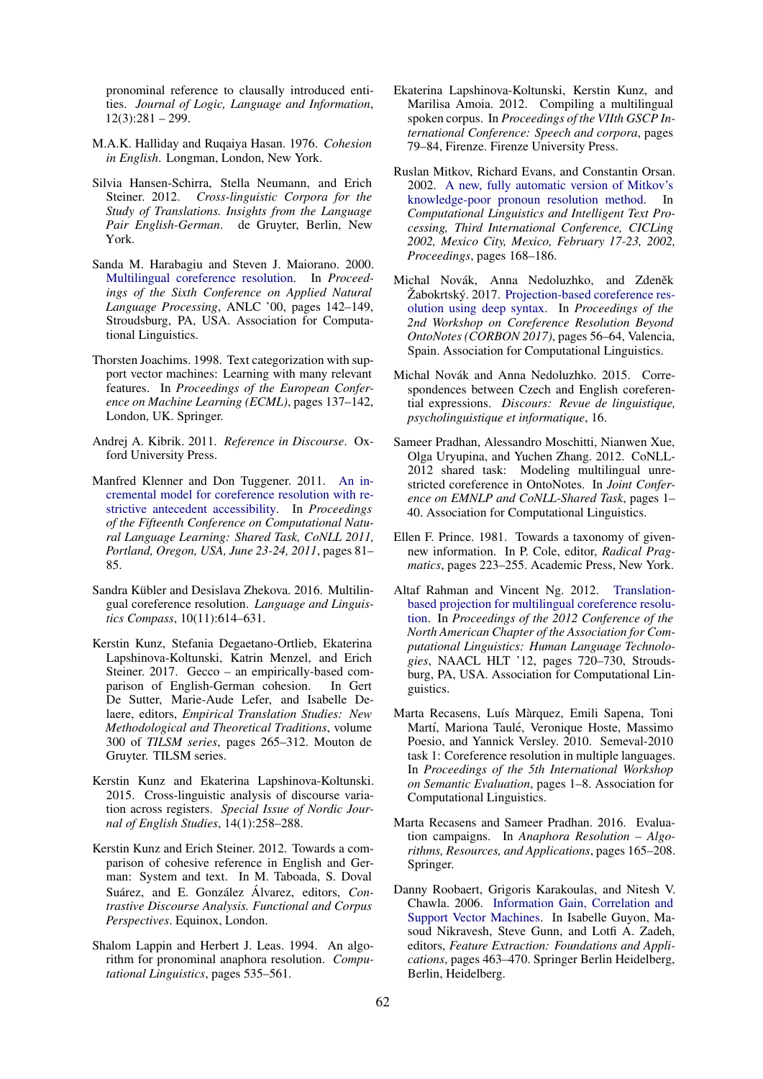pronominal reference to clausally introduced entities. *Journal of Logic, Language and Information*,  $12(3):281 - 299.$ 

- <span id="page-9-13"></span>M.A.K. Halliday and Ruqaiya Hasan. 1976. *Cohesion in English*. Longman, London, New York.
- <span id="page-9-17"></span>Silvia Hansen-Schirra, Stella Neumann, and Erich Steiner. 2012. *Cross-linguistic Corpora for the Study of Translations. Insights from the Language Pair English-German*. de Gruyter, Berlin, New York.
- <span id="page-9-8"></span>Sanda M. Harabagiu and Steven J. Maiorano. 2000. [Multilingual coreference resolution.](https://doi.org/10.3115/974147.974167) In *Proceedings of the Sixth Conference on Applied Natural Language Processing*, ANLC '00, pages 142–149, Stroudsburg, PA, USA. Association for Computational Linguistics.
- <span id="page-9-20"></span>Thorsten Joachims. 1998. Text categorization with support vector machines: Learning with many relevant features. In *Proceedings of the European Conference on Machine Learning (ECML)*, pages 137–142, London, UK. Springer.
- <span id="page-9-0"></span>Andrej A. Kibrik. 2011. *Reference in Discourse*. Oxford University Press.
- <span id="page-9-16"></span>Manfred Klenner and Don Tuggener. 2011. [An in](http://aclweb.org/anthology/W/W11/W11-1912.pdf)[cremental model for coreference resolution with re](http://aclweb.org/anthology/W/W11/W11-1912.pdf)[strictive antecedent accessibility.](http://aclweb.org/anthology/W/W11/W11-1912.pdf) In *Proceedings of the Fifteenth Conference on Computational Natural Language Learning: Shared Task, CoNLL 2011, Portland, Oregon, USA, June 23-24, 2011*, pages 81– 85.
- <span id="page-9-9"></span>Sandra Kübler and Desislava Zhekova. 2016. Multilingual coreference resolution. *Language and Linguistics Compass*, 10(11):614–631.
- <span id="page-9-12"></span>Kerstin Kunz, Stefania Degaetano-Ortlieb, Ekaterina Lapshinova-Koltunski, Katrin Menzel, and Erich Steiner. 2017. Gecco – an empirically-based comparison of English-German cohesion. In Gert De Sutter, Marie-Aude Lefer, and Isabelle Delaere, editors, *Empirical Translation Studies: New Methodological and Theoretical Traditions*, volume 300 of *TILSM series*, pages 265–312. Mouton de Gruyter. TILSM series.
- <span id="page-9-2"></span>Kerstin Kunz and Ekaterina Lapshinova-Koltunski. 2015. Cross-linguistic analysis of discourse variation across registers. *Special Issue of Nordic Journal of English Studies*, 14(1):258–288.
- <span id="page-9-1"></span>Kerstin Kunz and Erich Steiner. 2012. Towards a comparison of cohesive reference in English and German: System and text. In M. Taboada, S. Doval Suárez, and E. González Álvarez, editors, *Contrastive Discourse Analysis. Functional and Corpus Perspectives*. Equinox, London.
- <span id="page-9-14"></span>Shalom Lappin and Herbert J. Leas. 1994. An algorithm for pronominal anaphora resolution. *Computational Linguistics*, pages 535–561.
- <span id="page-9-18"></span>Ekaterina Lapshinova-Koltunski, Kerstin Kunz, and Marilisa Amoia. 2012. Compiling a multilingual spoken corpus. In *Proceedings of the VIIth GSCP International Conference: Speech and corpora*, pages 79–84, Firenze. Firenze University Press.
- <span id="page-9-15"></span>Ruslan Mitkov, Richard Evans, and Constantin Orsan. 2002. [A new, fully automatic version of Mitkov's](https://doi.org/10.1007/3-540-45715-1_15) [knowledge-poor pronoun resolution method.](https://doi.org/10.1007/3-540-45715-1_15) In *Computational Linguistics and Intelligent Text Processing, Third International Conference, CICLing 2002, Mexico City, Mexico, February 17-23, 2002, Proceedings*, pages 168–186.
- <span id="page-9-10"></span>Michal Novák, Anna Nedoluzhko, and Zdeněk Žabokrtský. 2017. [Projection-based coreference res](https://doi.org/10.18653/v1/W17-1508)[olution using deep syntax.](https://doi.org/10.18653/v1/W17-1508) In *Proceedings of the 2nd Workshop on Coreference Resolution Beyond OntoNotes (CORBON 2017)*, pages 56–64, Valencia, Spain. Association for Computational Linguistics.
- <span id="page-9-3"></span>Michal Novák and Anna Nedoluzhko. 2015. Correspondences between Czech and English coreferential expressions. *Discours: Revue de linguistique, psycholinguistique et informatique*, 16.
- <span id="page-9-6"></span>Sameer Pradhan, Alessandro Moschitti, Nianwen Xue, Olga Uryupina, and Yuchen Zhang. 2012. CoNLL-2012 shared task: Modeling multilingual unrestricted coreference in OntoNotes. In *Joint Conference on EMNLP and CoNLL-Shared Task*, pages 1– 40. Association for Computational Linguistics.
- <span id="page-9-11"></span>Ellen F. Prince. 1981. Towards a taxonomy of givennew information. In P. Cole, editor, *Radical Pragmatics*, pages 223–255. Academic Press, New York.
- <span id="page-9-5"></span>Altaf Rahman and Vincent Ng. 2012. [Translation](http://dl.acm.org/citation.cfm?id=2382029.2382147)[based projection for multilingual coreference resolu](http://dl.acm.org/citation.cfm?id=2382029.2382147)[tion.](http://dl.acm.org/citation.cfm?id=2382029.2382147) In *Proceedings of the 2012 Conference of the North American Chapter of the Association for Computational Linguistics: Human Language Technologies*, NAACL HLT '12, pages 720–730, Stroudsburg, PA, USA. Association for Computational Linguistics.
- <span id="page-9-7"></span>Marta Recasens, Luís Màrquez, Emili Sapena, Toni Martí, Mariona Taulé, Veronique Hoste, Massimo Poesio, and Yannick Versley. 2010. Semeval-2010 task 1: Coreference resolution in multiple languages. In *Proceedings of the 5th International Workshop on Semantic Evaluation*, pages 1–8. Association for Computational Linguistics.
- <span id="page-9-4"></span>Marta Recasens and Sameer Pradhan. 2016. Evaluation campaigns. In *Anaphora Resolution – Algorithms, Resources, and Applications*, pages 165–208. Springer.
- <span id="page-9-19"></span>Danny Roobaert, Grigoris Karakoulas, and Nitesh V. Chawla. 2006. [Information Gain, Correlation and](https://doi.org/10.1007/978-3-540-35488-8_23) [Support Vector Machines.](https://doi.org/10.1007/978-3-540-35488-8_23) In Isabelle Guyon, Masoud Nikravesh, Steve Gunn, and Lotfi A. Zadeh, editors, *Feature Extraction: Foundations and Applications*, pages 463–470. Springer Berlin Heidelberg, Berlin, Heidelberg.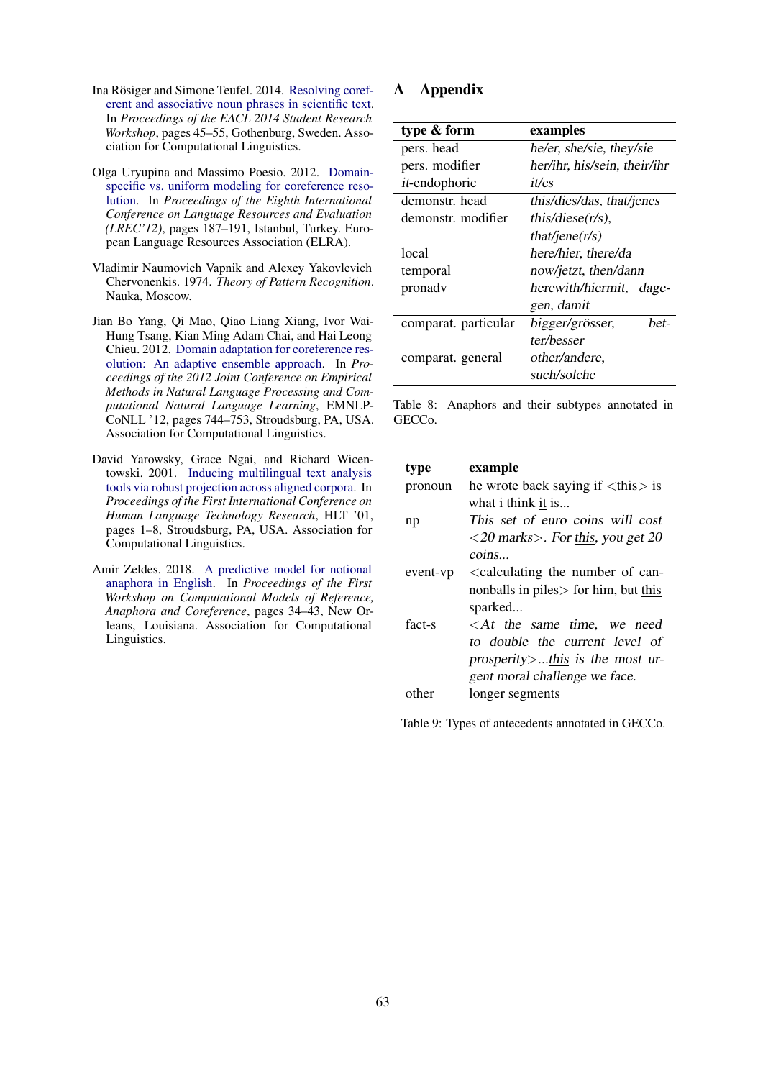- <span id="page-10-1"></span>Ina Rösiger and Simone Teufel. 2014. [Resolving coref](http://www.aclweb.org/anthology/P/P14/P14-3003)[erent and associative noun phrases in scientific text.](http://www.aclweb.org/anthology/P/P14/P14-3003) In *Proceedings of the EACL 2014 Student Research Workshop*, pages 45–55, Gothenburg, Sweden. Association for Computational Linguistics.
- <span id="page-10-2"></span>Olga Uryupina and Massimo Poesio. 2012. [Domain](http://www.lrec-conf.org/proceedings/lrec2012/pdf/944_Paper.pdf)[specific vs. uniform modeling for coreference reso](http://www.lrec-conf.org/proceedings/lrec2012/pdf/944_Paper.pdf)[lution.](http://www.lrec-conf.org/proceedings/lrec2012/pdf/944_Paper.pdf) In *Proceedings of the Eighth International Conference on Language Resources and Evaluation (LREC'12)*, pages 187–191, Istanbul, Turkey. European Language Resources Association (ELRA).
- <span id="page-10-5"></span>Vladimir Naumovich Vapnik and Alexey Yakovlevich Chervonenkis. 1974. *Theory of Pattern Recognition*. Nauka, Moscow.
- <span id="page-10-3"></span>Jian Bo Yang, Qi Mao, Qiao Liang Xiang, Ivor Wai-Hung Tsang, Kian Ming Adam Chai, and Hai Leong Chieu. 2012. [Domain adaptation for coreference res](http://dl.acm.org/citation.cfm?id=2390948.2391029)[olution: An adaptive ensemble approach.](http://dl.acm.org/citation.cfm?id=2390948.2391029) In *Proceedings of the 2012 Joint Conference on Empirical Methods in Natural Language Processing and Computational Natural Language Learning*, EMNLP-CoNLL '12, pages 744–753, Stroudsburg, PA, USA. Association for Computational Linguistics.
- <span id="page-10-0"></span>David Yarowsky, Grace Ngai, and Richard Wicentowski. 2001. [Inducing multilingual text analysis](https://doi.org/10.3115/1072133.1072187) [tools via robust projection across aligned corpora.](https://doi.org/10.3115/1072133.1072187) In *Proceedings of the First International Conference on Human Language Technology Research*, HLT '01, pages 1–8, Stroudsburg, PA, USA. Association for Computational Linguistics.
- <span id="page-10-4"></span>Amir Zeldes. 2018. [A predictive model for notional](https://doi.org/10.18653/v1/W18-0704) [anaphora in English.](https://doi.org/10.18653/v1/W18-0704) In *Proceedings of the First Workshop on Computational Models of Reference, Anaphora and Coreference*, pages 34–43, New Orleans, Louisiana. Association for Computational Linguistics.

# A Appendix

| type & form           | examples                     |  |
|-----------------------|------------------------------|--|
| pers. head            | he/er, she/sie, they/sie     |  |
| pers. modifier        | her/ihr, his/sein, their/ihr |  |
| <i>it</i> -endophoric | <i>it/es</i>                 |  |
| demonstr. head        | this/dies/das, that/jenes    |  |
| demonstr. modifier    | this/diese $(r/s)$ ,         |  |
|                       | that/jene( $r/s$ )           |  |
| local                 | here/hier, there/da          |  |
| temporal              | now/jetzt, then/dann         |  |
| pronady               | herewith/hiermit, dage-      |  |
|                       | gen, damit                   |  |
| comparat. particular  | bigger/grösser,<br>bet-      |  |
|                       | ter/besser                   |  |
| comparat. general     | other/andere,                |  |
|                       | such/solche                  |  |

Table 8: Anaphors and their subtypes annotated in GECCo.

| type     | example                                                           |
|----------|-------------------------------------------------------------------|
| pronoun  | he wrote back saying if $\langle$ this $\rangle$ is               |
|          | what i think it is                                                |
| np       | This set of euro coins will cost                                  |
|          | $<$ 20 marks $>$ . For this, you get 20                           |
|          | coins                                                             |
| event-vp | <calculating can-<="" number="" of="" td="" the=""></calculating> |
|          | nonballs in piles $>$ for him, but this                           |
|          | sparked                                                           |
| fact-s   | $\langle$ At the same time, we need                               |
|          | to double the current level of                                    |
|          | $prosperity$ this is the most ur-                                 |
|          | gent moral challenge we face.                                     |
| other    | longer segments                                                   |

Table 9: Types of antecedents annotated in GECCo.